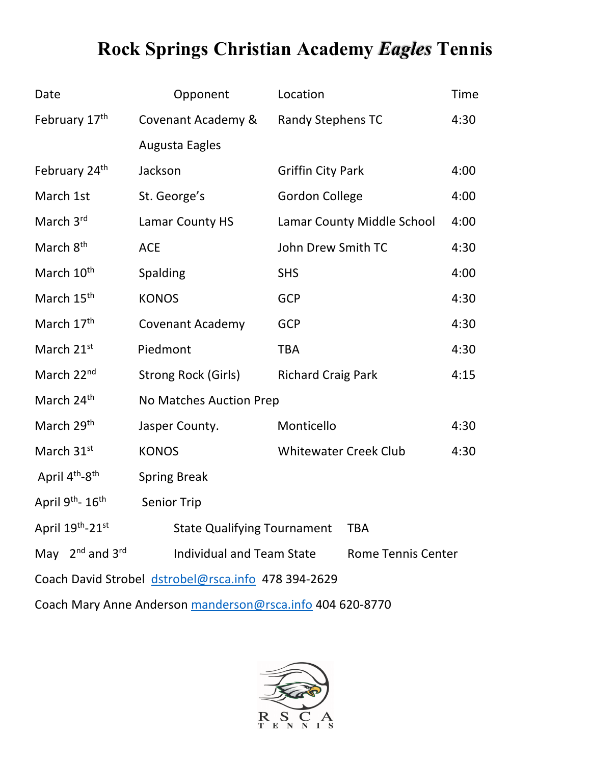## **Rock Springs Christian Academy** *Eagles* **Tennis**

| Date                                                | Opponent                           | Location                     |                           | <b>Time</b> |
|-----------------------------------------------------|------------------------------------|------------------------------|---------------------------|-------------|
| February 17th                                       | Covenant Academy &                 | <b>Randy Stephens TC</b>     |                           | 4:30        |
|                                                     | <b>Augusta Eagles</b>              |                              |                           |             |
| February 24 <sup>th</sup>                           | Jackson                            | <b>Griffin City Park</b>     |                           | 4:00        |
| March 1st                                           | St. George's                       | <b>Gordon College</b>        |                           | 4:00        |
| March 3rd                                           | Lamar County HS                    | Lamar County Middle School   |                           | 4:00        |
| March 8 <sup>th</sup>                               | <b>ACE</b>                         | John Drew Smith TC           |                           | 4:30        |
| March 10 <sup>th</sup>                              | <b>Spalding</b>                    | <b>SHS</b>                   |                           | 4:00        |
| March 15 <sup>th</sup>                              | <b>KONOS</b>                       | <b>GCP</b>                   |                           | 4:30        |
| March 17th                                          | Covenant Academy                   | <b>GCP</b>                   |                           | 4:30        |
| March 21st                                          | Piedmont                           | <b>TBA</b>                   |                           | 4:30        |
| March 22 <sup>nd</sup>                              | <b>Strong Rock (Girls)</b>         | <b>Richard Craig Park</b>    |                           | 4:15        |
| March 24th                                          | No Matches Auction Prep            |                              |                           |             |
| March 29 <sup>th</sup>                              | Jasper County.                     | Monticello                   |                           | 4:30        |
| March 31st                                          | <b>KONOS</b>                       | <b>Whitewater Creek Club</b> |                           | 4:30        |
| April 4 <sup>th</sup> -8 <sup>th</sup>              | <b>Spring Break</b>                |                              |                           |             |
| April 9th- 16th                                     | <b>Senior Trip</b>                 |                              |                           |             |
| April 19th-21st                                     | <b>State Qualifying Tournament</b> |                              | <b>TBA</b>                |             |
| May 2 <sup>nd</sup> and 3rd                         | <b>Individual and Team State</b>   |                              | <b>Rome Tennis Center</b> |             |
| Coach David Strobel dstrobel@rsca.info 478 394-2629 |                                    |                              |                           |             |
|                                                     |                                    |                              |                           |             |

Coach Mary Anne Anderson manderson@rsca.info 404 620-8770